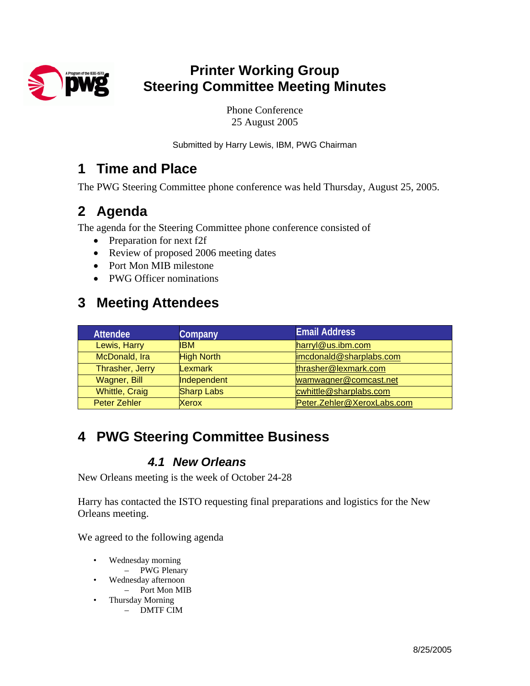

# **Printer Working Group Steering Committee Meeting Minutes**

Phone Conference 25 August 2005

Submitted by Harry Lewis, IBM, PWG Chairman

### **1 Time and Place**

The PWG Steering Committee phone conference was held Thursday, August 25, 2005.

# **2 Agenda**

The agenda for the Steering Committee phone conference consisted of

- Preparation for next f2f
- Review of proposed 2006 meeting dates
- Port Mon MIB milestone
- PWG Officer nominations

## **3 Meeting Attendees**

| <b>Attendee</b>       | Company           | <b>Email Address</b>       |
|-----------------------|-------------------|----------------------------|
| Lewis, Harry          | IBM.              | harryl@us.ibm.com          |
| McDonald, Ira         | <b>High North</b> | imcdonald@sharplabs.com    |
| Thrasher, Jerry       | Lexmark           | thrasher@lexmark.com       |
| <b>Wagner, Bill</b>   | Independent       | wamwagner@comcast.net      |
| <b>Whittle, Craig</b> | <b>Sharp Labs</b> | cwhittle@sharplabs.com     |
| <b>Peter Zehler</b>   | Xerox             | Peter.Zehler@XeroxLabs.com |

# **4 PWG Steering Committee Business**

#### *4.1 New Orleans*

New Orleans meeting is the week of October 24-28

Harry has contacted the ISTO requesting final preparations and logistics for the New Orleans meeting.

We agreed to the following agenda

- Wednesday morning
- PWG Plenary
- Wednesday afternoon
	- Port Mon MIB
- Thursday Morning – DMTF CIM